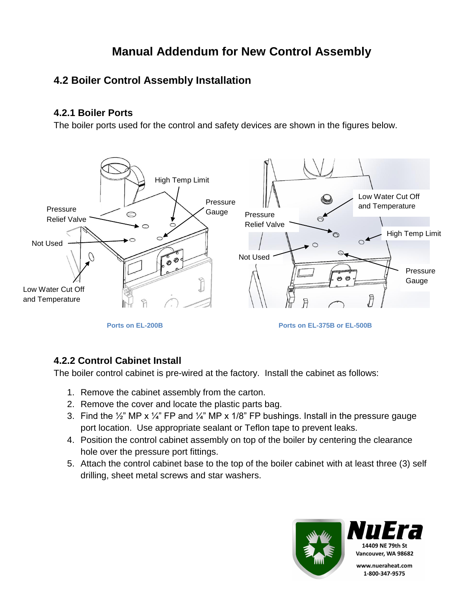# **Manual Addendum for New Control Assembly**

## **4.2 Boiler Control Assembly Installation**

### **4.2.1 Boiler Ports**

The boiler ports used for the control and safety devices are shown in the figures below.



### **4.2.2 Control Cabinet Install**

The boiler control cabinet is pre-wired at the factory. Install the cabinet as follows:

- 1. Remove the cabinet assembly from the carton.
- 2. Remove the cover and locate the plastic parts bag.
- 3. Find the  $\frac{1}{2}$ " MP x  $\frac{1}{4}$ " FP and  $\frac{1}{4}$ " MP x 1/8" FP bushings. Install in the pressure gauge port location. Use appropriate sealant or Teflon tape to prevent leaks.
- 4. Position the control cabinet assembly on top of the boiler by centering the clearance hole over the pressure port fittings.
- 5. Attach the control cabinet base to the top of the boiler cabinet with at least three (3) self drilling, sheet metal screws and star washers.

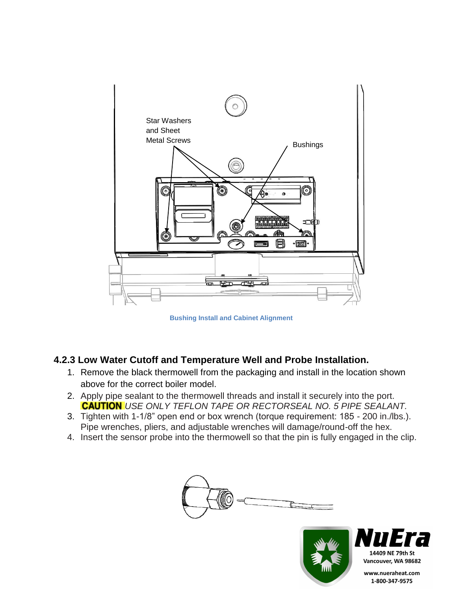

**Bushing Install and Cabinet Alignment**

### **4.2.3 Low Water Cutoff and Temperature Well and Probe Installation.**

- 1. Remove the black thermowell from the packaging and install in the location shown above for the correct boiler model.
- 2. Apply pipe sealant to the thermowell threads and install it securely into the port. *USE ONLY TEFLON TAPE OR RECTORSEAL NO. 5 PIPE SEALANT.*
- 3. Tighten with 1-1/8" open end or box wrench (torque requirement: 185 200 in./lbs.). Pipe wrenches, pliers, and adjustable wrenches will damage/round-off the hex.
- 4. Insert the sensor probe into the thermowell so that the pin is fully engaged in the clip.

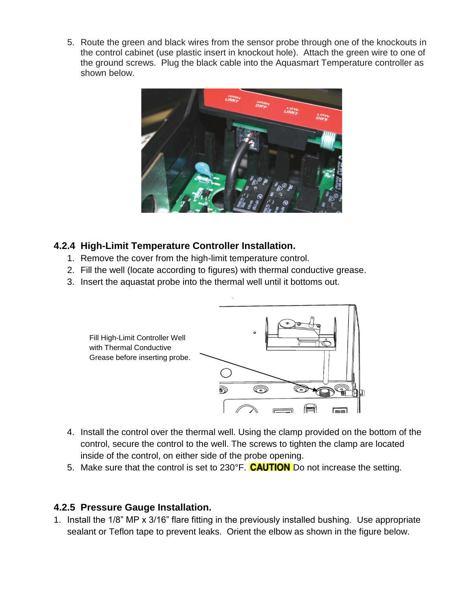5. Route the green and black wires from the sensor probe through one of the knockouts in the control cabinet (use plastic insert in knockout hole). Attach the green wire to one of the ground screws. Plug the black cable into the Aquasmart Temperature controller as shown below.



### **4.2.4 High-Limit Temperature Controller Installation.**

- 1. Remove the cover from the high-limit temperature control.
- 2. Fill the well (locate according to figures) with thermal conductive grease.
- 3. Insert the aquastat probe into the thermal well until it bottoms out.



- 4. Install the control over the thermal well. Using the clamp provided on the bottom of the control, secure the control to the well. The screws to tighten the clamp are located inside of the control, on either side of the probe opening.
- 5. Make sure that the control is set to 230°F. **CAUTION** Do not increase the setting.

## **4.2.5 Pressure Gauge Installation.**

1. Install the 1/8" MP x 3/16" flare fitting in the previously installed bushing. Use appropriate sealant or Teflon tape to prevent leaks. Orient the elbow as shown in the figure below.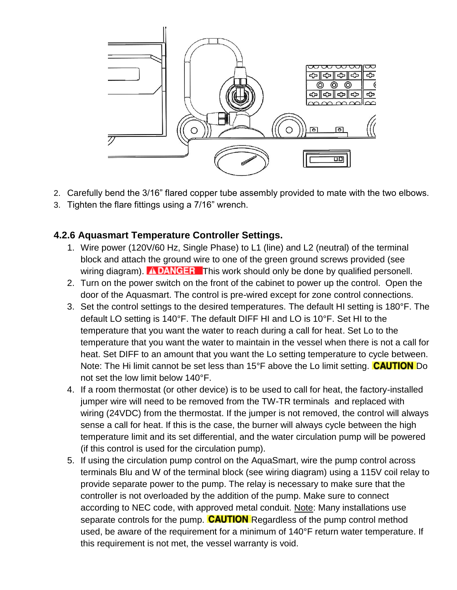

- 2. Carefully bend the 3/16" flared copper tube assembly provided to mate with the two elbows.
- 3. Tighten the flare fittings using a 7/16" wrench.

### **4.2.6 Aquasmart Temperature Controller Settings.**

- 1. Wire power (120V/60 Hz, Single Phase) to L1 (line) and L2 (neutral) of the terminal block and attach the ground wire to one of the green ground screws provided (see wiring diagram). **The DANGER** This work should only be done by qualified personell.
- 2. Turn on the power switch on the front of the cabinet to power up the control. Open the door of the Aquasmart. The control is pre-wired except for zone control connections.
- 3. Set the control settings to the desired temperatures. The default HI setting is 180°F. The default LO setting is 140°F. The default DIFF HI and LO is 10°F. Set HI to the temperature that you want the water to reach during a call for heat. Set Lo to the temperature that you want the water to maintain in the vessel when there is not a call for heat. Set DIFF to an amount that you want the Lo setting temperature to cycle between. Note: The Hi limit cannot be set less than  $15^{\circ}$ F above the Lo limit setting. **CAUTION** Do not set the low limit below 140°F.
- 4. If a room thermostat (or other device) is to be used to call for heat, the factory-installed jumper wire will need to be removed from the TW-TR terminals and replaced with wiring (24VDC) from the thermostat. If the jumper is not removed, the control will always sense a call for heat. If this is the case, the burner will always cycle between the high temperature limit and its set differential, and the water circulation pump will be powered (if this control is used for the circulation pump).
- 5. If using the circulation pump control on the AquaSmart, wire the pump control across terminals Blu and W of the terminal block (see wiring diagram) using a 115V coil relay to provide separate power to the pump. The relay is necessary to make sure that the controller is not overloaded by the addition of the pump. Make sure to connect according to NEC code, with approved metal conduit. Note: Many installations use separate controls for the pump. **CAUTION** Regardless of the pump control method used, be aware of the requirement for a minimum of 140°F return water temperature. If this requirement is not met, the vessel warranty is void.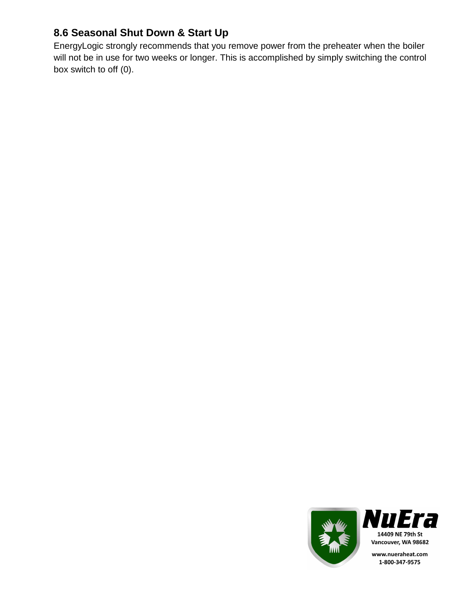# **8.6 Seasonal Shut Down & Start Up**

EnergyLogic strongly recommends that you remove power from the preheater when the boiler will not be in use for two weeks or longer. This is accomplished by simply switching the control box switch to off (0).

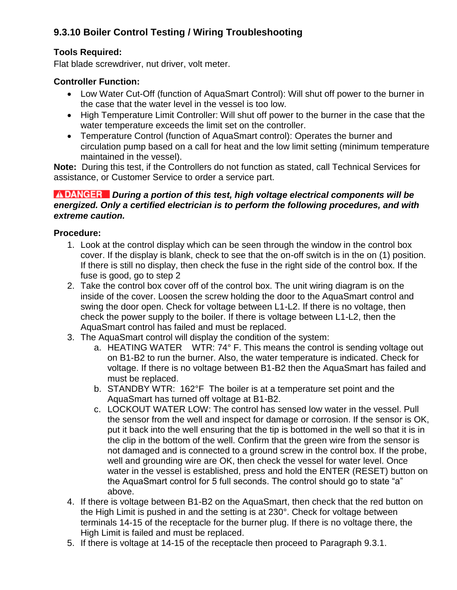## **9.3.10 Boiler Control Testing / Wiring Troubleshooting**

### **Tools Required:**

Flat blade screwdriver, nut driver, volt meter.

#### **Controller Function:**

- Low Water Cut-Off (function of AquaSmart Control): Will shut off power to the burner in the case that the water level in the vessel is too low.
- High Temperature Limit Controller: Will shut off power to the burner in the case that the water temperature exceeds the limit set on the controller.
- Temperature Control (function of AquaSmart control): Operates the burner and circulation pump based on a call for heat and the low limit setting (minimum temperature maintained in the vessel).

**Note:** During this test, if the Controllers do not function as stated, call Technical Services for assistance, or Customer Service to order a service part.

#### *INDANGER* During a portion of this test, high voltage electrical components will be *energized. Only a certified electrician is to perform the following procedures, and with extreme caution.*

#### **Procedure:**

- 1. Look at the control display which can be seen through the window in the control box cover. If the display is blank, check to see that the on-off switch is in the on (1) position. If there is still no display, then check the fuse in the right side of the control box. If the fuse is good, go to step 2
- 2. Take the control box cover off of the control box. The unit wiring diagram is on the inside of the cover. Loosen the screw holding the door to the AquaSmart control and swing the door open. Check for voltage between L1-L2. If there is no voltage, then check the power supply to the boiler. If there is voltage between L1-L2, then the AquaSmart control has failed and must be replaced.
- 3. The AquaSmart control will display the condition of the system:
	- a. HEATING WATER WTR: 74° F. This means the control is sending voltage out on B1-B2 to run the burner. Also, the water temperature is indicated. Check for voltage. If there is no voltage between B1-B2 then the AquaSmart has failed and must be replaced.
	- b. STANDBY WTR: 162°F The boiler is at a temperature set point and the AquaSmart has turned off voltage at B1-B2.
	- c. LOCKOUT WATER LOW: The control has sensed low water in the vessel. Pull the sensor from the well and inspect for damage or corrosion. If the sensor is OK, put it back into the well ensuring that the tip is bottomed in the well so that it is in the clip in the bottom of the well. Confirm that the green wire from the sensor is not damaged and is connected to a ground screw in the control box. If the probe, well and grounding wire are OK, then check the vessel for water level. Once water in the vessel is established, press and hold the ENTER (RESET) button on the AquaSmart control for 5 full seconds. The control should go to state "a" above.
- 4. If there is voltage between B1-B2 on the AquaSmart, then check that the red button on the High Limit is pushed in and the setting is at 230°. Check for voltage between terminals 14-15 of the receptacle for the burner plug. If there is no voltage there, the High Limit is failed and must be replaced.
- 5. If there is voltage at 14-15 of the receptacle then proceed to Paragraph 9.3.1.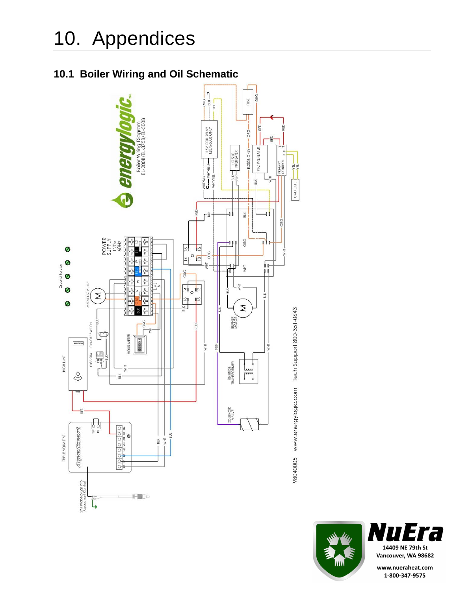# **10.1 Boiler Wiring and Oil Schematic**